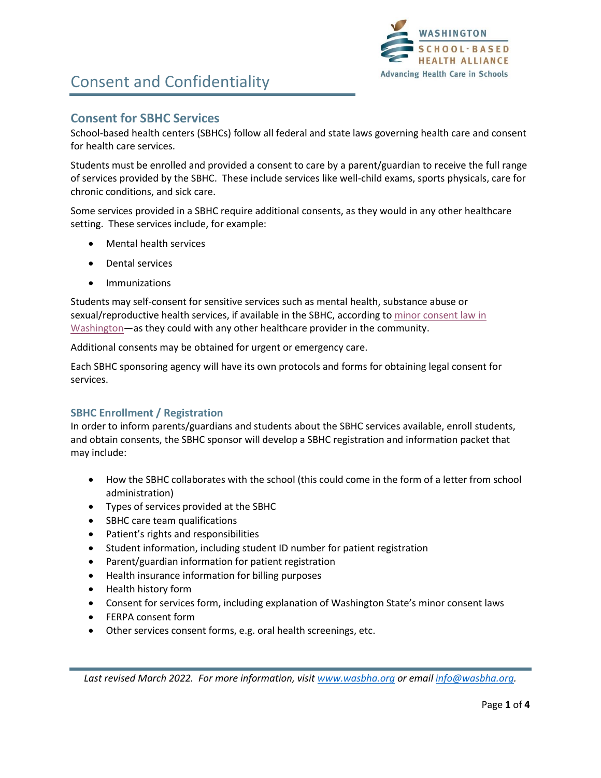

## Consent and Confidentiality

### **Consent for SBHC Services**

School-based health centers (SBHCs) follow all federal and state laws governing health care and consent for health care services.

Students must be enrolled and provided a consent to care by a parent/guardian to receive the full range of services provided by the SBHC. These include services like well-child exams, sports physicals, care for chronic conditions, and sick care.

Some services provided in a SBHC require additional consents, as they would in any other healthcare setting. These services include, for example:

- Mental health services
- Dental services
- Immunizations

Students may self-consent for sensitive services such as mental health, substance abuse or sexual/reproductive health services, if available in the SBHC, according to [minor consent law in](https://www.washingtonlawhelp.org/files/C9D2EA3F-0350-D9AF-ACAE-BF37E9BC9FFA/attachments/C05026F6-61F0-4684-A93A-1D8206789944/5934en_when-can-a-minor-access-health-care-without-parental-consent.pdf)  [Washington](https://www.washingtonlawhelp.org/files/C9D2EA3F-0350-D9AF-ACAE-BF37E9BC9FFA/attachments/C05026F6-61F0-4684-A93A-1D8206789944/5934en_when-can-a-minor-access-health-care-without-parental-consent.pdf)—as they could with any other healthcare provider in the community.

Additional consents may be obtained for urgent or emergency care.

Each SBHC sponsoring agency will have its own protocols and forms for obtaining legal consent for services.

### **SBHC Enrollment / Registration**

In order to inform parents/guardians and students about the SBHC services available, enroll students, and obtain consents, the SBHC sponsor will develop a SBHC registration and information packet that may include:

- How the SBHC collaborates with the school (this could come in the form of a letter from school administration)
- Types of services provided at the SBHC
- SBHC care team qualifications
- Patient's rights and responsibilities
- Student information, including student ID number for patient registration
- Parent/guardian information for patient registration
- Health insurance information for billing purposes
- Health history form
- Consent for services form, including explanation of Washington State's minor consent laws
- FERPA consent form
- Other services consent forms, e.g. oral health screenings, etc.

*Last revised March 2022. For more information, visit [www.wasbha.org](http://www.wasbha.org/) or email [info@wasbha.org.](mailto:info@wasbha.org)*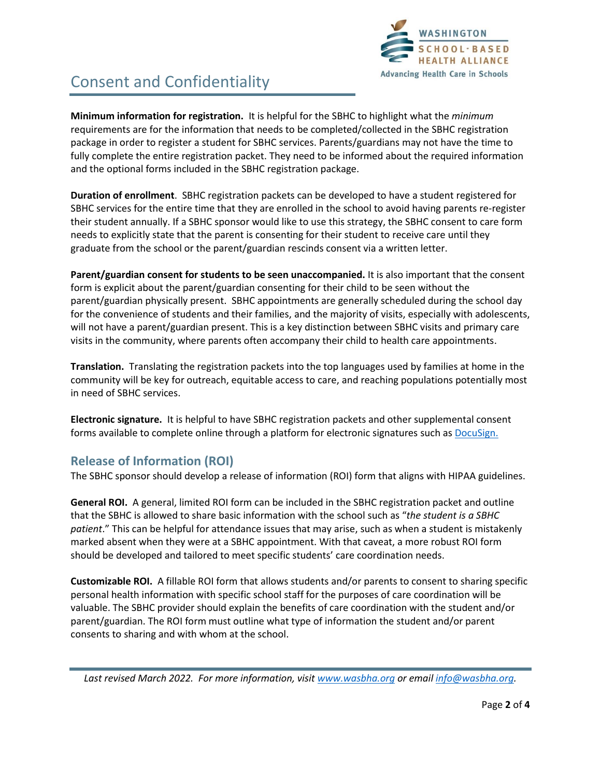

# Consent and Confidentiality

**Minimum information for registration.** It is helpful for the SBHC to highlight what the *minimum* requirements are for the information that needs to be completed/collected in the SBHC registration package in order to register a student for SBHC services. Parents/guardians may not have the time to fully complete the entire registration packet. They need to be informed about the required information and the optional forms included in the SBHC registration package.

**Duration of enrollment**. SBHC registration packets can be developed to have a student registered for SBHC services for the entire time that they are enrolled in the school to avoid having parents re-register their student annually. If a SBHC sponsor would like to use this strategy, the SBHC consent to care form needs to explicitly state that the parent is consenting for their student to receive care until they graduate from the school or the parent/guardian rescinds consent via a written letter.

**Parent/guardian consent for students to be seen unaccompanied.** It is also important that the consent form is explicit about the parent/guardian consenting for their child to be seen without the parent/guardian physically present. SBHC appointments are generally scheduled during the school day for the convenience of students and their families, and the majority of visits, especially with adolescents, will not have a parent/guardian present. This is a key distinction between SBHC visits and primary care visits in the community, where parents often accompany their child to health care appointments.

**Translation.** Translating the registration packets into the top languages used by families at home in the community will be key for outreach, equitable access to care, and reaching populations potentially most in need of SBHC services.

**Electronic signature.** It is helpful to have SBHC registration packets and other supplemental consent forms available to complete online through a platform for electronic signatures such as [DocuSign.](https://www.docusign.com/products/electronic-signature/how-docusign-works?utm_source=bing&utm_medium=cpc&utm_term=DocuSign&utm_content=sitelink&sitelink=how_esigning_works&msclkid=adecde04a1f61e96272e819798af1537)

## **Release of Information (ROI)**

The SBHC sponsor should develop a release of information (ROI) form that aligns with HIPAA guidelines.

**General ROI.** A general, limited ROI form can be included in the SBHC registration packet and outline that the SBHC is allowed to share basic information with the school such as "*the student is a SBHC patient*." This can be helpful for attendance issues that may arise, such as when a student is mistakenly marked absent when they were at a SBHC appointment. With that caveat, a more robust ROI form should be developed and tailored to meet specific students' care coordination needs.

**Customizable ROI.** A fillable ROI form that allows students and/or parents to consent to sharing specific personal health information with specific school staff for the purposes of care coordination will be valuable. The SBHC provider should explain the benefits of care coordination with the student and/or parent/guardian. The ROI form must outline what type of information the student and/or parent consents to sharing and with whom at the school.

*Last revised March 2022. For more information, visit [www.wasbha.org](http://www.wasbha.org/) or email [info@wasbha.org.](mailto:info@wasbha.org)*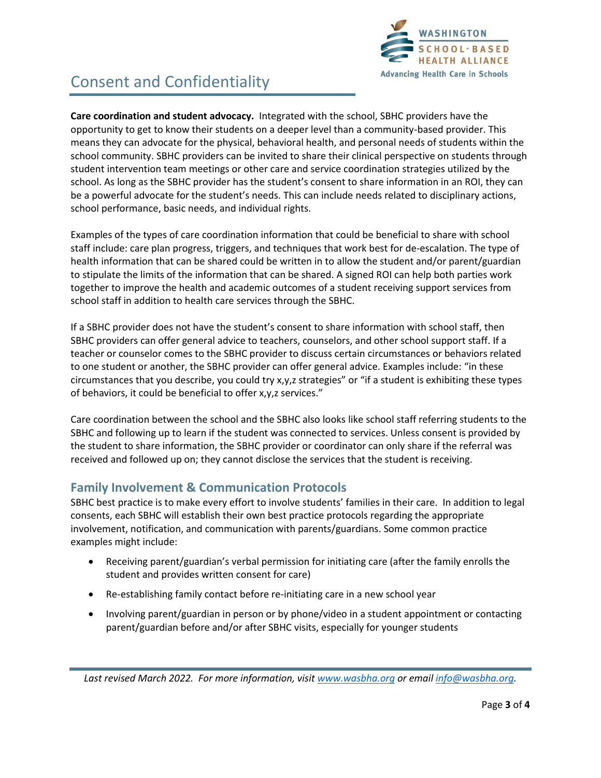

# Consent and Confidentiality

**Care coordination and student advocacy.** Integrated with the school, SBHC providers have the opportunity to get to know their students on a deeper level than a community-based provider. This means they can advocate for the physical, behavioral health, and personal needs of students within the school community. SBHC providers can be invited to share their clinical perspective on students through student intervention team meetings or other care and service coordination strategies utilized by the school. As long as the SBHC provider has the student's consent to share information in an ROI, they can be a powerful advocate for the student's needs. This can include needs related to disciplinary actions, school performance, basic needs, and individual rights.

Examples of the types of care coordination information that could be beneficial to share with school staff include: care plan progress, triggers, and techniques that work best for de-escalation. The type of health information that can be shared could be written in to allow the student and/or parent/guardian to stipulate the limits of the information that can be shared. A signed ROI can help both parties work together to improve the health and academic outcomes of a student receiving support services from school staff in addition to health care services through the SBHC.

If a SBHC provider does not have the student's consent to share information with school staff, then SBHC providers can offer general advice to teachers, counselors, and other school support staff. If a teacher or counselor comes to the SBHC provider to discuss certain circumstances or behaviors related to one student or another, the SBHC provider can offer general advice. Examples include: "in these circumstances that you describe, you could try x,y,z strategies" or "if a student is exhibiting these types of behaviors, it could be beneficial to offer x,y,z services."

Care coordination between the school and the SBHC also looks like school staff referring students to the SBHC and following up to learn if the student was connected to services. Unless consent is provided by the student to share information, the SBHC provider or coordinator can only share if the referral was received and followed up on; they cannot disclose the services that the student is receiving.

### **Family Involvement & Communication Protocols**

SBHC best practice is to make every effort to involve students' families in their care. In addition to legal consents, each SBHC will establish their own best practice protocols regarding the appropriate involvement, notification, and communication with parents/guardians. Some common practice examples might include:

- Receiving parent/guardian's verbal permission for initiating care (after the family enrolls the student and provides written consent for care)
- Re-establishing family contact before re-initiating care in a new school year
- Involving parent/guardian in person or by phone/video in a student appointment or contacting parent/guardian before and/or after SBHC visits, especially for younger students

*Last revised March 2022. For more information, visit [www.wasbha.org](http://www.wasbha.org/) or email [info@wasbha.org.](mailto:info@wasbha.org)*